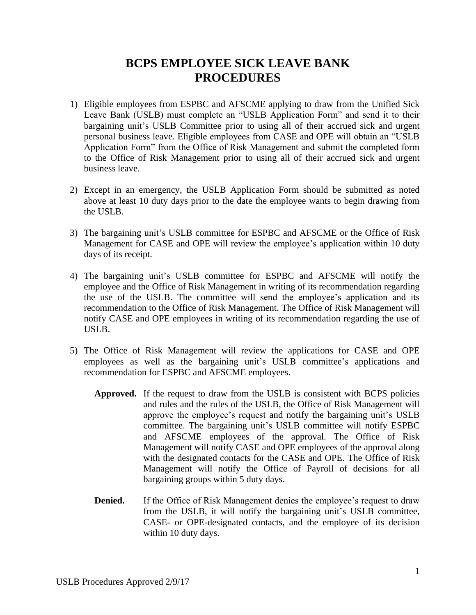## **BCPS EMPLOYEE SICK LEAVE BANK PROCEDURES**

- 1) Eligible employees from ESPBC and AFSCME applying to draw from the Unified Sick Leave Bank (USLB) must complete an "USLB Application Form" and send it to their bargaining unit's USLB Committee prior to using all of their accrued sick and urgent personal business leave. Eligible employees from CASE and OPE will obtain an "USLB Application Form" from the Office of Risk Management and submit the completed form to the Office of Risk Management prior to using all of their accrued sick and urgent business leave.
- 2) Except in an emergency, the USLB Application Form should be submitted as noted above at least 10 duty days prior to the date the employee wants to begin drawing from the USLB.
- 3) The bargaining unit's USLB committee for ESPBC and AFSCME or the Office of Risk Management for CASE and OPE will review the employee's application within 10 duty days of its receipt.
- 4) The bargaining unit's USLB committee for ESPBC and AFSCME will notify the employee and the Office of Risk Management in writing of its recommendation regarding the use of the USLB. The committee will send the employee's application and its recommendation to the Office of Risk Management. The Office of Risk Management will notify CASE and OPE employees in writing of its recommendation regarding the use of USLB.
- 5) The Office of Risk Management will review the applications for CASE and OPE employees as well as the bargaining unit's USLB committee's applications and recommendation for ESPBC and AFSCME employees.
	- **Approved.** If the request to draw from the USLB is consistent with BCPS policies and rules and the rules of the USLB, the Office of Risk Management will approve the employee's request and notify the bargaining unit's USLB committee. The bargaining unit's USLB committee will notify ESPBC and AFSCME employees of the approval. The Office of Risk Management will notify CASE and OPE employees of the approval along with the designated contacts for the CASE and OPE. The Office of Risk Management will notify the Office of Payroll of decisions for all bargaining groups within 5 duty days.
	- **Denied.** If the Office of Risk Management denies the employee's request to draw from the USLB, it will notify the bargaining unit's USLB committee, CASE- or OPE-designated contacts, and the employee of its decision within 10 duty days.